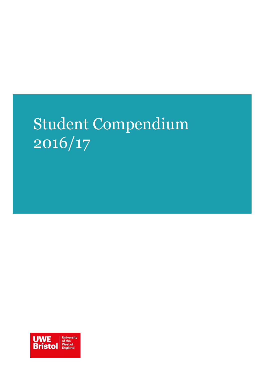# Student Compendium  $2016/17$

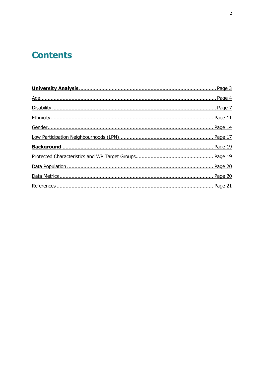# **Contents**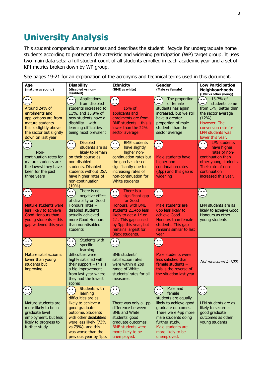# <span id="page-2-0"></span>**University Analysis**

This student compendium summarises and describes the student lifecycle for undergraduate home students according to protected characteristic and widening participation (WP) target group. It uses two main data sets: a full student count of all students enrolled in each academic year and a set of KPI metrics broken down by WP group.

| Age<br>(mature vs young)                                                                                                                                | <b>Disability</b><br>(disabled vs non-<br>disabled)                                                                                                                                                                                                             | <b>Ethnicity</b><br>(BME vs white)                                                                                                                                                                                                         | Gender<br>(Male vs female)                                                                                                                                                                                                            | <b>Low Participation</b><br><b>Neighbourhoods</b><br>(LPN vs other young)                                                                                                                                     |
|---------------------------------------------------------------------------------------------------------------------------------------------------------|-----------------------------------------------------------------------------------------------------------------------------------------------------------------------------------------------------------------------------------------------------------------|--------------------------------------------------------------------------------------------------------------------------------------------------------------------------------------------------------------------------------------------|---------------------------------------------------------------------------------------------------------------------------------------------------------------------------------------------------------------------------------------|---------------------------------------------------------------------------------------------------------------------------------------------------------------------------------------------------------------|
| Around 24% of<br>enrolments and<br>applications are from<br>mature students -<br>this is slightly above<br>the sector but slightly<br>down on last year | <b>Applications</b><br>$\circ$ $\circ$<br>from disabled<br>students increased to<br>11%, and 15.9% of<br>new students have a<br>$disability - with$<br>learning difficulties<br>being most prevalent                                                            | $\circ \circ$<br>$\overline{ }$<br>$15%$ of<br>applicants and<br>enrolments are from<br>BME students $-$ this is<br>lower than the 22%<br>sector average                                                                                   | The proportion<br>$^{\circ}$<br>of female<br>ー<br>students has again<br>increased, but we still<br>have a greater<br>proportion of male<br>students than the<br>sector average                                                        | 13.7% of<br>$\cdot$ $\cdot$<br>students come<br>ー<br>from LPN, better than<br>the sector average<br>$(12%)$ .<br>However, The<br>conversion rate for<br><b>LPN students was</b><br>lower this year.           |
| $\circ$ $\circ$<br>Non-<br>continuation rates for<br>mature students are<br>the lowest they have<br>been for the past<br>three years                    | <b>Disabled</b><br>$^{\circ}$<br>students are as<br>likely to remain<br>on their course as<br>non-disabled<br>students. Disabled<br>students without DSA<br>have higher rates of<br>non-continuation<br>(10%)                                                   | <b>BME</b> students<br>$^{\circ}$<br>$\overline{\phantom{0}}$<br>have slightly<br>higher non-<br>continuation rates but<br>the gap has closed<br>significantly due to<br>increasing rates of<br>non-continuation for<br>White students     | $\circ$ $\circ$<br>Male students have<br>higher non-<br>continuation rates<br>(3pp) and this gap is<br>widening                                                                                                                       | <b>LPN students</b><br>$\circ$ $\circ$<br>have higher<br>$\widehat{\phantom{1}}$<br>rates of non-<br>continuation than<br>other young students.<br>Their rate of non-<br>continuation<br>increased this year. |
| $^{\circ}$<br>Mature students were<br>less likely to achieve<br><b>Good Honours than</b><br>young students - this<br>gap widened this year              | There is no<br>$^{\circ}$<br>negative effect<br>of disability on Good<br>Honours rates -<br>disabled students<br>actually achieved<br>more Good Honours<br>than non-disabled<br>students                                                                        | There is a<br>$\circ \circ$<br>⌒<br>significant gap<br>for Good<br>Honours, with BME<br>students 21.4pp less<br>likely to get a $1st$ or<br>2.1. This gap closed<br>by 3pp this year, but<br>remains largest for<br><b>Black students.</b> | 。。<br>○<br>Male students are<br>6pp less likely to<br>achieve Good<br>Honours than female<br>students. This gap<br>remains similar to last<br>year                                                                                    | $^{\circ}$<br>LPN students are as<br>likely to acheive Good<br>Honours as other<br>young students                                                                                                             |
| Mature satisfaction is<br>lower than young<br>students but<br>improving                                                                                 | Students with<br>$^{\circ}$<br>specific<br>learning<br>difficulties were<br>highly satisfied with<br>their support $-$ this is<br>a big improvement<br>from last year where<br>they had the lowest<br>scores                                                    | $\circ$ $\circ$<br><b>BME</b> students'<br>satisfaction rates<br>were within a 2pp<br>range of White<br>students' rates for all<br>measures.                                                                                               | $\circ$ $\circ$<br>Male students were<br>less satisfied than<br>female students $-$<br>this is the reverse of<br>the situation last year                                                                                              | Not measured in NSS                                                                                                                                                                                           |
| $^{\circ}$<br>Mature students are<br>more likely to be in<br>graduate level<br>employment, but less<br>likely to progress to<br>further study           | <b>Students with</b><br>$\circ$ $\circ$<br>learning<br>difficulties are as<br>likely to achieve a<br>good graduate<br>outcome. Students<br>with other disabilities<br>were less likely (73%<br>vs 79%), and this<br>was worse than the<br>previous year by 1pp. | $\circ \circ$<br>There was only a 1pp<br>difference between<br><b>BME</b> and White<br>students' good<br>graduate outcomes.<br><b>BME</b> students were<br>more likely to be<br>unemployed.                                                | Male and<br>0 <sub>0</sub><br>female<br>students are equally<br>likely to achieve good<br>graduate outcomes.<br>There were 4pp more<br>male students doing<br>further study.<br>Male students are<br>more likely to be<br>unemployed. | $\bullet$ $\bullet$<br>LPN students are as<br>likely to secure a<br>good graduate<br>outcomes as other<br>young students                                                                                      |

See pages 19-21 for an explanation of the acronyms and technical terms used in this document.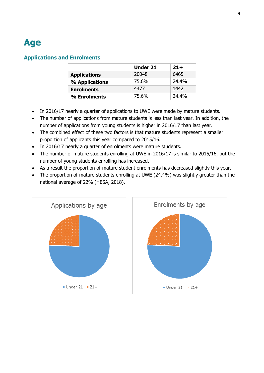# <span id="page-3-0"></span>**Age**

#### **Applications and Enrolments**

|                     | <b>Under 21</b> | $21+$ |
|---------------------|-----------------|-------|
| <b>Applications</b> | 20048           | 6465  |
| % Applications      | 75.6%           | 24.4% |
| <b>Enrolments</b>   | 4477            | 1442  |
| % Enrolments        | 75.6%           | 24.4% |

- In 2016/17 nearly a quarter of applications to UWE were made by mature students.
- The number of applications from mature students is less than last year. In addition, the number of applications from young students is higher in 2016/17 than last year.
- The combined effect of these two factors is that mature students represent a smaller proportion of applicants this year compared to 2015/16.
- In 2016/17 nearly a quarter of enrolments were mature students.
- The number of mature students enrolling at UWE in 2016/17 is similar to 2015/16, but the number of young students enrolling has increased.
- As a result the proportion of mature student enrolments has decreased slightly this year.
- The proportion of mature students enrolling at UWE (24.4%) was slightly greater than the national average of 22% (HESA, 2018).

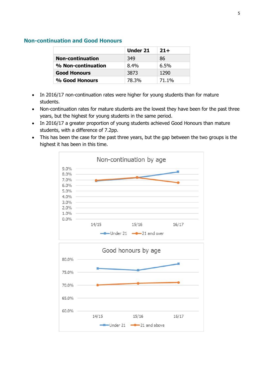#### **Non-continuation and Good Honours**

|                         | Under 21 | $21+$ |
|-------------------------|----------|-------|
| <b>Non-continuation</b> | 349      | 86    |
| % Non-continuation      | $8.4\%$  | 6.5%  |
| <b>Good Honours</b>     | 3873     | 1290  |
| % Good Honours          | 78.3%    | 71.1% |

- In 2016/17 non-continuation rates were higher for young students than for mature students.
- Non-continuation rates for mature students are the lowest they have been for the past three years, but the highest for young students in the same period.
- In 2016/17 a greater proportion of young students achieved Good Honours than mature students, with a difference of 7.2pp.
- This has been the case for the past three years, but the gap between the two groups is the highest it has been in this time.

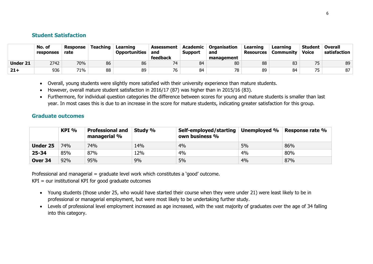#### **Student Satisfaction**

|                 | No. of<br>responses | Response<br>rate | <b>Teaching</b> | Learning<br><b>Opportunities</b> | Assessment<br>and | Academic<br>Support | <b>Organisation</b><br>and | Learning<br><b>Resources</b> | Learning<br><b>Community</b> | Student  <br>Voice | <b>Overall</b><br>satisfaction |
|-----------------|---------------------|------------------|-----------------|----------------------------------|-------------------|---------------------|----------------------------|------------------------------|------------------------------|--------------------|--------------------------------|
|                 |                     |                  |                 |                                  | feedback          |                     | management                 |                              |                              |                    |                                |
| <b>Under 21</b> | 2742                | 70%              | 86              | 86                               | 74                | 84                  | 80                         | 88                           | 83                           | $- -$              | 89                             |
| $21+$           | 936                 | 71%              | 88              | 89                               | 76                | 84                  | ⊸                          | 89                           | 84                           | フロ                 | 87                             |

- Overall, young students were slightly more satisfied with their university experience than mature students.
- However, overall mature student satisfaction in 2016/17 (87) was higher than in 2015/16 (83).
- Furthermore, for individual question categories the difference between scores for young and mature students is smaller than last year. In most cases this is due to an increase in the score for mature students, indicating greater satisfaction for this group.

#### **Graduate outcomes**

|                 | KPI % | Professional and<br>managerial % | Study % | Self-employed/starting<br>own business % |    | Unemployed $\%$   Response rate $\%$ |
|-----------------|-------|----------------------------------|---------|------------------------------------------|----|--------------------------------------|
| <b>Under 25</b> | 74%   | 74%                              | 14%     | 4%                                       | 5% | 86%                                  |
| $25 - 34$       | 85%   | 87%                              | 12%     | 4%                                       | 4% | 80%                                  |
| Over 34         | 92%   | 95%                              | 9%      | 5%                                       | 4% | 87%                                  |

Professional and managerial = graduate level work which constitutes a 'good' outcome.

KPI = our institutional KPI for good graduate outcomes

- Young students (those under 25, who would have started their course when they were under 21) were least likely to be in professional or managerial employment, but were most likely to be undertaking further study.
- Levels of professional level employment increased as age increased, with the vast majority of graduates over the age of 34 falling into this category.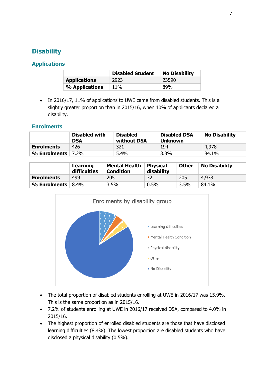### <span id="page-6-0"></span>**Disability**

#### **Applications**

|                     | <b>Disabled Student</b> | <b>No Disability</b> |
|---------------------|-------------------------|----------------------|
| <b>Applications</b> | 2923                    | 23590                |
| % Applications      | 11%                     | 89%                  |

• In 2016/17, 11% of applications to UWE came from disabled students. This is a slightly greater proportion than in 2015/16, when 10% of applicants declared a disability.

#### **Enrolments**

|                   | <b>Disabled with</b><br><b>DSA</b> | <b>Disabled</b><br>without DSA | <b>Disabled DSA</b><br><b>Unknown</b> | <b>No Disability</b> |
|-------------------|------------------------------------|--------------------------------|---------------------------------------|----------------------|
| <b>Enrolments</b> | 426                                | 321                            | 194                                   | 4,978                |
| % Enrolments      | $\degree$ 7.2% $\degree$           | 5.4%                           | $3.3\%$                               | 84.1%                |

|                   | Learning<br>difficulties | <b>Mental Health</b><br><b>Condition</b> | <b>Physical</b><br>disability | <b>Other</b> | <b>No Disability</b> |
|-------------------|--------------------------|------------------------------------------|-------------------------------|--------------|----------------------|
| <b>Enrolments</b> | 499                      | 205                                      | 32                            | 205          | 4,978                |
| % Enrolments      | $8.4\%$                  | 3.5%                                     | 0.5%                          | 3.5%         | 84.1%                |



- The total proportion of disabled students enrolling at UWE in 2016/17 was 15.9%. This is the same proportion as in 2015/16.
- 7.2% of students enrolling at UWE in 2016/17 received DSA, compared to 4.0% in 2015/16.
- The highest proportion of enrolled disabled students are those that have disclosed learning difficulties (8.4%). The lowest proportion are disabled students who have disclosed a physical disability (0.5%).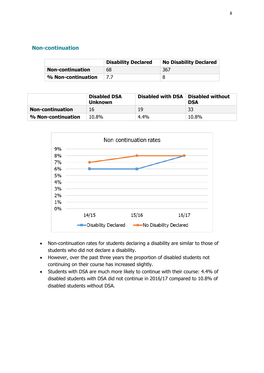#### **Non-continuation**

|                         | <b>Disability Declared</b> | <b>No Disability Declared</b> |
|-------------------------|----------------------------|-------------------------------|
| <b>Non-continuation</b> | 68                         | 367                           |
| % Non-continuation      | 77                         |                               |

|                         | <b>Disabled DSA</b><br><b>Unknown</b> |      | Disabled with DSA   Disabled without<br><b>DSA</b> |  |
|-------------------------|---------------------------------------|------|----------------------------------------------------|--|
| <b>Non-continuation</b> | 16                                    | 19   | 33                                                 |  |
| % Non-continuation      | 10.8%                                 | 4.4% | 10.8%                                              |  |



- Non-continuation rates for students declaring a disability are similar to those of students who did not declare a disability.
- However, over the past three years the proportion of disabled students not continuing on their course has increased slightly.
- Students with DSA are much more likely to continue with their course: 4.4% of disabled students with DSA did not continue in 2016/17 compared to 10.8% of disabled students without DSA.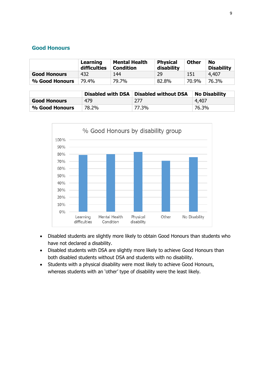#### **Good Honours**

|                     | Learning<br>difficulties | <b>Mental Health</b><br><b>Condition</b> | <b>Physical</b><br>disability | <b>Other</b> | No<br><b>Disability</b> |
|---------------------|--------------------------|------------------------------------------|-------------------------------|--------------|-------------------------|
| <b>Good Honours</b> | 432                      | 144                                      | 29                            | 151          | 4,407                   |
| % Good Honours      | 79.4%                    | 79.7%                                    | 82.8%                         | 70.9%        | 76.3%                   |

|                     |       | Disabled with DSA   Disabled without DSA   No Disability |          |
|---------------------|-------|----------------------------------------------------------|----------|
| <b>Good Honours</b> | 479   | 277                                                      | (4, 407) |
| % Good Honours      | 78.2% | 77.3%                                                    | 76.3%    |



- Disabled students are slightly more likely to obtain Good Honours than students who have not declared a disability.
- Disabled students with DSA are slightly more likely to achieve Good Honours than both disabled students without DSA and students with no disability.
- Students with a physical disability were most likely to achieve Good Honours, whereas students with an 'other' type of disability were the least likely.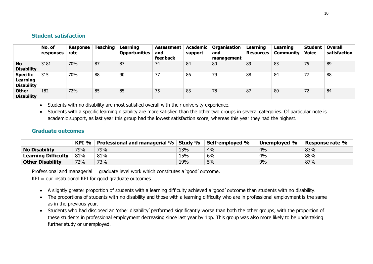#### **Student satisfaction**

|                                                  | No. of<br>responses | Response<br>rate | <b>Teaching</b> | Learning<br><b>Opportunities</b> | Assessment<br>and<br>feedback | Academic<br>support | Organisation<br>and<br>management | Learning<br><b>Resources</b> | Learning<br>Community | <b>Student</b><br><b>Voice</b> | <b>Overall</b><br>satisfaction |
|--------------------------------------------------|---------------------|------------------|-----------------|----------------------------------|-------------------------------|---------------------|-----------------------------------|------------------------------|-----------------------|--------------------------------|--------------------------------|
| <b>No</b><br><b>Disability</b>                   | 3181                | 70%              | 87              | 87                               | 74                            | 84                  | 80                                | 89                           | 83                    | 75                             | 89                             |
| <b>Specific</b><br>Learning<br><b>Disability</b> | 315                 | 70%              | 88              | 90                               | 77                            | 86                  | 79                                | 88                           | 84                    | 77                             | 88                             |
| <b>Other</b><br><b>Disability</b>                | 182                 | 72%              | 85              | 85                               | 75                            | 83                  | 78                                | 87                           | 80                    | 72                             | 84                             |

Students with no disability are most satisfied overall with their university experience.

 Students with a specific learning disability are more satisfied than the other two groups in several categories. Of particular note is academic support, as last year this group had the lowest satisfaction score, whereas this year they had the highest.

#### **Graduate outcomes**

|                            | KPI % | <b>Professional and managerial % Study %</b> |     | Self-employed % | Unemployed % | Response rate % |
|----------------------------|-------|----------------------------------------------|-----|-----------------|--------------|-----------------|
| <b>No Disability</b>       | 79%   | 79%                                          | 13% | 4%              | 4%           | 83%             |
| <b>Learning Difficulty</b> | 81%   | 81%                                          | 15% | 6%              | 4%           | 88%             |
| <b>Other Disability</b>    | 72%   | 73%                                          | 19% | 5%              | 9%           | 87%             |

Professional and managerial = graduate level work which constitutes a 'good' outcome.

 $KPI = our institutional KPI$  for good graduate outcomes

- A slightly greater proportion of students with a learning difficulty achieved a 'good' outcome than students with no disability.
- The proportions of students with no disability and those with a learning difficulty who are in professional employment is the same as in the previous year.
- Students who had disclosed an 'other disability' performed significantly worse than both the other groups, with the proportion of these students in professional employment decreasing since last year by 1pp. This group was also more likely to be undertaking further study or unemployed.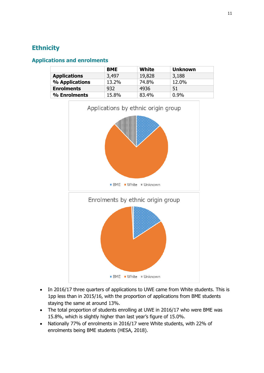## <span id="page-10-0"></span>**Ethnicity**

|                     | <b>BME</b> | White  | <b>Unknown</b> |
|---------------------|------------|--------|----------------|
| <b>Applications</b> | 3,497      | 19,828 | 3,188          |
| % Applications      | 13.2%      | 74.8%  | 12.0%          |
| <b>Enrolments</b>   | 932        | 4936   | 51             |
| % Enrolments        | 15.8%      | 83.4%  | $0.9\%$        |

#### **Applications and enrolments**



- In 2016/17 three quarters of applications to UWE came from White students. This is 1pp less than in 2015/16, with the proportion of applications from BME students staying the same at around 13%.
- The total proportion of students enrolling at UWE in 2016/17 who were BME was 15.8%, which is slightly higher than last year's figure of 15.0%.
- Nationally 77% of enrolments in 2016/17 were White students, with 22% of enrolments being BME students (HESA, 2018).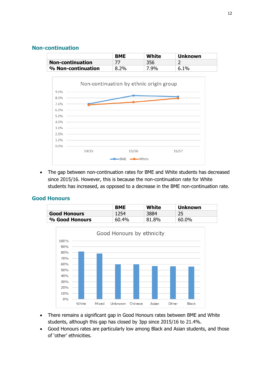#### **Non-continuation**

|                         | <b>BME</b> | White | <b>Unknown</b> |
|-------------------------|------------|-------|----------------|
| <b>Non-continuation</b> |            | 356   |                |
| % Non-continuation      | 8.2%       | 7.9%  | 6.1%           |



• The gap between non-continuation rates for BME and White students has decreased since 2015/16. However, this is because the non-continuation rate for White students has increased, as opposed to a decrease in the BME non-continuation rate.

#### **Good Honours**

|                     | <b>BME</b> | White | <b>Unknown</b> |
|---------------------|------------|-------|----------------|
| <b>Good Honours</b> | 1254       | 3884  | 25             |
| % Good Honours      | 60.4%      | 81.8% | 60.0%          |



- There remains a significant gap in Good Honours rates between BME and White students, although this gap has closed by 3pp since 2015/16 to 21.4%.
- Good Honours rates are particularly low among Black and Asian students, and those of 'other' ethnicities.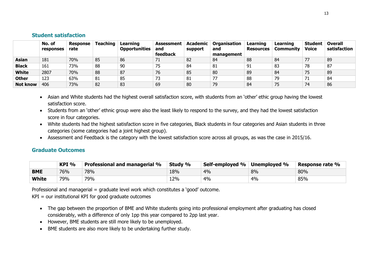#### **Student satisfaction**

|                 | No. of<br>responses | <b>Response</b><br>rate | <b>Teaching</b> | Learning<br><b>Opportunities</b> | Assessment<br>and<br>feedback | Academic<br>support | <b>Organisation</b><br>and<br>management | Learning<br><b>Resources</b> | Learning<br>Community | <b>Student</b><br><b>Voice</b> | <b>Overall</b><br>satisfaction |
|-----------------|---------------------|-------------------------|-----------------|----------------------------------|-------------------------------|---------------------|------------------------------------------|------------------------------|-----------------------|--------------------------------|--------------------------------|
| <b>Asian</b>    | 181                 | 70%                     | 85              | 86                               | 71                            | 82                  | 84                                       | 88                           | 84                    | 77                             | 89                             |
| <b>Black</b>    | 161                 | 73%                     | 88              | 90                               | 75                            | 84                  | 81                                       | 91                           | 83                    | 78                             | 87                             |
| <b>White</b>    | 2807                | 70%                     | 88              | 87                               | 76                            | 85                  | 80                                       | 89                           | 84                    | 75                             | 89                             |
| <b>Other</b>    | 123                 | 63%                     | 81              | 85                               | 73                            | 81                  | 77                                       | 88                           | 79                    | 71                             | 84                             |
| <b>Not know</b> | 406                 | 73%                     | 82              | 83                               | 69                            | 80                  | 79                                       | 84                           | 75                    | 74                             | 86                             |

- Asian and White students had the highest overall satisfaction score, with students from an 'other' ethic group having the lowest satisfaction score.
- Students from an 'other' ethnic group were also the least likely to respond to the survey, and they had the lowest satisfaction score in four categories.
- White students had the highest satisfaction score in five categories, Black students in four categories and Asian students in three categories (some categories had a joint highest group).
- Assessment and Feedback is the category with the lowest satisfaction score across all groups, as was the case in 2015/16.

#### **Graduate Outcomes**

|              | $KPI\%$ | Professional and managerial % | Study % | Self-employed % Unemployed % |    | <b>Response rate %</b> |
|--------------|---------|-------------------------------|---------|------------------------------|----|------------------------|
| <b>BME</b>   | 76%     | 78%                           | 18%     | 4%                           | 8% | 80%                    |
| <b>White</b> | 79%     | 79%                           | 12%     | 4%                           | 4% | 85%                    |

Professional and managerial = graduate level work which constitutes a 'good' outcome.

KPI = our institutional KPI for good graduate outcomes

- The gap between the proportion of BME and White students going into professional employment after graduating has closed considerably, with a difference of only 1pp this year compared to 2pp last year.
- However, BME students are still more likely to be unemployed.
- BME students are also more likely to be undertaking further study.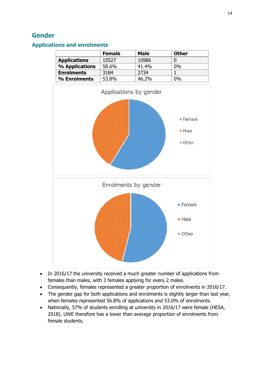### <span id="page-13-0"></span>**Gender**

#### **Applications and enrolments**

|                     | <b>Female</b> | <b>Male</b> | <b>Other</b> |
|---------------------|---------------|-------------|--------------|
| <b>Applications</b> | 15527         | 10986       |              |
| % Applications      | 58.6%         | 41.4%       | $0\%$        |
| <b>Enrolments</b>   | 3184          | 2734        |              |
| % Enrolments        | 53.8%         | 46.2%       | $0\%$        |



- In 2016/17 the university received a much greater number of applications from females than males, with 3 females applying for every 2 males.
- Consequently, females represented a greater proportion of enrolments in 2016/17.
- The gender gap for both applications and enrolments is slightly larger than last year, when females represented 56.8% of applications and 53.0% of enrolments.
- Nationally, 57% of students enrolling at university in 2016/17 were female (HESA, 2018). UWE therefore has a lower than average proportion of enrolments from female students.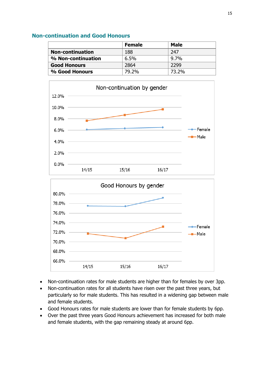#### **Non-continuation and Good Honours**

|                         | <b>Female</b> | <b>Male</b> |
|-------------------------|---------------|-------------|
| <b>Non-continuation</b> | 188           | 247         |
| % Non-continuation      | 6.5%          | $9.7\%$     |
| <b>Good Honours</b>     | 2864          | 2299        |
| % Good Honours          | 79.2%         | 73.2%       |





- Non-continuation rates for male students are higher than for females by over 3pp.
- Non-continuation rates for all students have risen over the past three years, but particularly so for male students. This has resulted in a widening gap between male and female students.
- Good Honours rates for male students are lower than for female students by 6pp.
- Over the past three years Good Honours achievement has increased for both male and female students, with the gap remaining steady at around 6pp.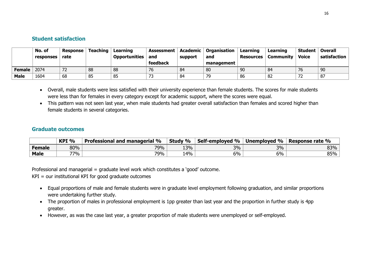#### **Student satisfaction**

|               | No. of<br>responses | Response<br>rate | <b>Teaching</b> | Learning<br><b>Opportunities</b> | Assessment<br>and | Academic<br>support | Organisation<br>and | Learning<br>Resources | Learning<br>Community | <b>Student</b><br><b>Voice</b> | <b>Overall</b><br>satisfaction |
|---------------|---------------------|------------------|-----------------|----------------------------------|-------------------|---------------------|---------------------|-----------------------|-----------------------|--------------------------------|--------------------------------|
|               |                     |                  |                 |                                  | feedback          |                     | management          |                       |                       |                                |                                |
| <b>Female</b> | 2074                | 72               | 88              | 88                               | 76                | 84                  | 80                  | 90                    | 84                    | 76                             | 90                             |
| Male          | 1604                | 68               | 85              | 85                               | $\mathcal{L}$     | 84                  | 79                  | 86                    | 82                    | רד                             | 87                             |

- Overall, male students were less satisfied with their university experience than female students. The scores for male students were less than for females in every category except for academic support, where the scores were equal.
- This pattern was not seen last year, when male students had greater overall satisfaction than females and scored higher than female students in several categories.

#### **Graduate outcomes**

|               | KPI % | Professional and managerial % | Study % | Self-employed % | Unemployed % | Response rate % |
|---------------|-------|-------------------------------|---------|-----------------|--------------|-----------------|
| <b>Female</b> | 80%   | 79%                           | 13%     | 3%              | 3%           | 83%             |
| <b>Male</b>   | 77%   | 79%                           | 14%     | 6%              | 6%           | 85%             |

Professional and managerial = graduate level work which constitutes a 'good' outcome.

KPI = our institutional KPI for good graduate outcomes

- Equal proportions of male and female students were in graduate level employment following graduation, and similar proportions were undertaking further study.
- The proportion of males in professional employment is 1pp greater than last year and the proportion in further study is 4pp greater.
- However, as was the case last year, a greater proportion of male students were unemployed or self-employed.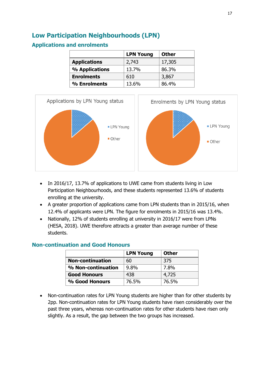### <span id="page-16-0"></span>**Low Participation Neighbourhoods (LPN)**

#### **Applications and enrolments**

|                     | <b>LPN Young</b> | <b>Other</b> |  |
|---------------------|------------------|--------------|--|
| <b>Applications</b> | 2,743            | 17,305       |  |
| % Applications      | 13.7%            | 86.3%        |  |
| <b>Enrolments</b>   | 610              | 3,867        |  |
| % Enrolments        | 13.6%            | 86.4%        |  |



- In 2016/17, 13.7% of applications to UWE came from students living in Low Participation Neighbourhoods, and these students represented 13.6% of students enrolling at the university.
- A greater proportion of applications came from LPN students than in 2015/16, when 12.4% of applicants were LPN. The figure for enrolments in 2015/16 was 13.4%.
- Nationally, 12% of students enrolling at university in 2016/17 were from LPNs (HESA, 2018). UWE therefore attracts a greater than average number of these students.

#### **Non-continuation and Good Honours**

|                         | <b>LPN Young</b> | <b>Other</b> |  |
|-------------------------|------------------|--------------|--|
| <b>Non-continuation</b> | 60               | 375          |  |
| % Non-continuation      | 9.8%             | 7.8%         |  |
| <b>Good Honours</b>     | 438              | 4,725        |  |
| % Good Honours          | 76.5%            | 76.5%        |  |

• Non-continuation rates for LPN Young students are higher than for other students by 2pp. Non-continuation rates for LPN Young students have risen considerably over the past three years, whereas non-continuation rates for other students have risen only slightly. As a result, the gap between the two groups has increased.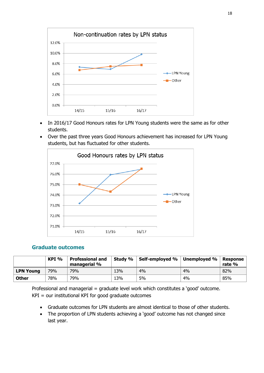

- In 2016/17 Good Honours rates for LPN Young students were the same as for other students.
- Over the past three years Good Honours achievement has increased for LPN Young students, but has fluctuated for other students.



#### **Graduate outcomes**

|                  | KPI $\%$ | <b>Professional and</b><br>managerial % | Study % | Self-employed % Unemployed % |    | Response<br>rate % |
|------------------|----------|-----------------------------------------|---------|------------------------------|----|--------------------|
| <b>LPN Young</b> | 79%      | 79%                                     | 13%     | 4%                           | 4% | 82%                |
| <b>Other</b>     | 78%      | 79%                                     | 13%     | 5%                           | 4% | 85%                |

Professional and managerial = graduate level work which constitutes a 'good' outcome.  $KPI = our$  institutional  $KPI$  for good graduate outcomes

- Graduate outcomes for LPN students are almost identical to those of other students.
- The proportion of LPN students achieving a 'good' outcome has not changed since last year.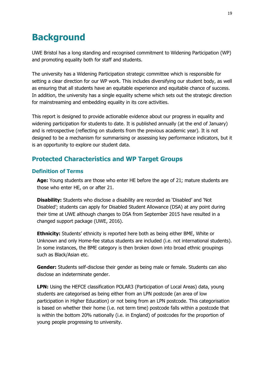# <span id="page-18-0"></span>**Background**

UWE Bristol has a long standing and recognised commitment to Widening Participation (WP) and promoting equality both for staff and students.

The university has a Widening Participation strategic committee which is responsible for setting a clear direction for our WP work. This includes diversifying our student body, as well as ensuring that all students have an equitable experience and equitable chance of success. In addition, the university has a single equality scheme which sets out the strategic direction for mainstreaming and embedding equality in its core activities.

This report is designed to provide actionable evidence about our progress in equality and widening participation for students to date. It is published annually (at the end of January) and is retrospective (reflecting on students from the previous academic year). It is not designed to be a mechanism for summarising or assessing key performance indicators, but it is an opportunity to explore our student data.

### <span id="page-18-1"></span>**Protected Characteristics and WP Target Groups**

#### **Definition of Terms**

**Age:** Young students are those who enter HE before the age of 21; mature students are those who enter HE, on or after 21.

**Disability:** Students who disclose a disability are recorded as 'Disabled' and 'Not Disabled'; students can apply for Disabled Student Allowance (DSA) at any point during their time at UWE although changes to DSA from September 2015 have resulted in a changed support package (UWE, 2016).

**Ethnicity:** Students' ethnicity is reported here both as being either BME, White or Unknown and only Home-fee status students are included (i.e. not international students). In some instances, the BME category is then broken down into broad ethnic groupings such as Black/Asian etc.

**Gender:** Students self-disclose their gender as being male or female. Students can also disclose an indeterminate gender.

**LPN:** Using the HEFCE classification POLAR3 (Participation of Local Areas) data, young students are categorised as being either from an LPN postcode (an area of low participation in Higher Education) or not being from an LPN postcode. This categorisation is based on whether their home (i.e. not term time) postcode falls within a postcode that is within the bottom 20% nationally (i.e. in England) of postcodes for the proportion of young people progressing to university.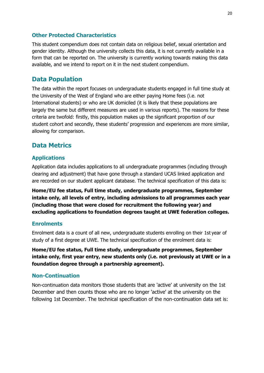#### **Other Protected Characteristics**

This student compendium does not contain data on religious belief, sexual orientation and gender identity. Although the university collects this data, it is not currently available in a form that can be reported on. The university is currently working towards making this data available, and we intend to report on it in the next student compendium.

#### <span id="page-19-0"></span>**Data Population**

The data within the report focuses on undergraduate students engaged in full time study at the University of the West of England who are either paying Home fees (i.e. not International students) or who are UK domiciled (it is likely that these populations are largely the same but different measures are used in various reports). The reasons for these criteria are twofold: firstly, this population makes up the significant proportion of our student cohort and secondly, these students' progression and experiences are more similar, allowing for comparison.

### <span id="page-19-1"></span>**Data Metrics**

#### **Applications**

Application data includes applications to all undergraduate programmes (including through clearing and adjustment) that have gone through a standard UCAS linked application and are recorded on our student applicant database. The technical specification of this data is:

**Home/EU fee status, Full time study, undergraduate programmes, September intake only, all levels of entry, including admissions to all programmes each year (including those that were closed for recruitment the following year) and excluding applications to foundation degrees taught at UWE federation colleges.** 

#### **Enrolments**

Enrolment data is a count of all new, undergraduate students enrolling on their 1st year of study of a first degree at UWE. The technical specification of the enrolment data is:

**Home/EU fee status, Full time study, undergraduate programmes, September intake only, first year entry, new students only (i.e. not previously at UWE or in a foundation degree through a partnership agreement).**

#### **Non-Continuation**

Non-continuation data monitors those students that are 'active' at university on the 1st December and then counts those who are no longer 'active' at the university on the following 1st December. The technical specification of the non-continuation data set is: